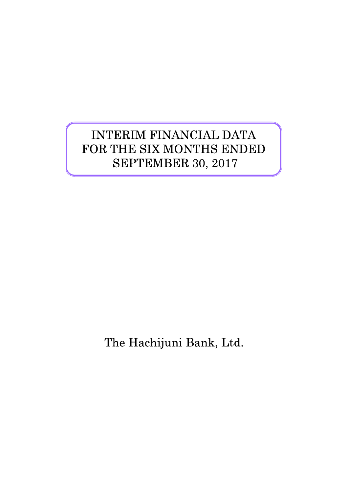# INTERIM FINANCIAL DATA FOR THE SIX MONTHS ENDED SEPTEMBER 30, 2017

The Hachijuni Bank, Ltd.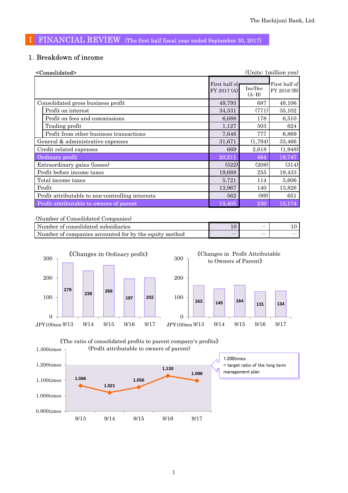# Ⅰ FINANCIAL REVIEW (The first half fiscal year ended September 30, 2017)

## 1.Breakdown of income

| <consolidated></consolidated>                    |                              |                    | (Units: 1 million yen)       |
|--------------------------------------------------|------------------------------|--------------------|------------------------------|
|                                                  | First half of<br>FY 2017 (A) | Inc/Dec<br>$(A-B)$ | First half of<br>FY 2016 (B) |
| Consolidated gross business profit               | 49,793                       | 687                | 49,106                       |
| Profit on interest                               | 34,331                       | (771)              | 35,102                       |
| Profit on fees and commissions                   | 6,688                        | 178                | 6,510                        |
| Trading profit                                   | 1,127                        | 503                | 624                          |
| Profit from other business transactions          | 7,646                        | 777                | 6,869                        |
| General & administrative expenses                | 31,671                       | (1,794)            | 33,466                       |
| Credit related expenses                          | 669                          | 2,618              | (1,948)                      |
| Ordinary profit                                  | 20,211                       | 464                | 19,747                       |
| Extraordinary gains (losses)                     | (522)                        | (208)              | (314)                        |
| Profit before income taxes                       | 19,688                       | 255                | 19,433                       |
| Total income taxes                               | 5,721                        | 114                | 5,606                        |
| Profit                                           | 13,967                       | 140                | 13,826                       |
| Profit attributable to non-controlling interests | 562                          | (89)               | 651                          |
| Profit attributable to owners of parent          | 13,405                       | 230                | 13,174                       |

(Number of Consolidated Companies)

| Number of consolidated subsidiaries                    | $\overline{\phantom{a}}$ |  |
|--------------------------------------------------------|--------------------------|--|
| Number of companies accounted for by the equity method | $\overline{\phantom{a}}$ |  |



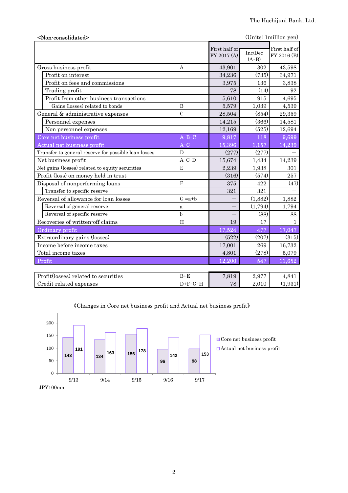| <non-consolidated></non-consolidated>                                                                |                             |                              |                      | (Units: 1 million yen)       |
|------------------------------------------------------------------------------------------------------|-----------------------------|------------------------------|----------------------|------------------------------|
|                                                                                                      |                             | First half of<br>FY 2017 (A) | Inc/Dec<br>$(A - B)$ | First half of<br>FY 2016 (B) |
| Gross business profit                                                                                | Α                           | 43,901                       | 302                  | 43,598                       |
| Profit on interest                                                                                   |                             | 34,236                       | (735)                | 34,971                       |
| Profit on fees and commissions                                                                       |                             | 3,975                        | 136                  | 3,838                        |
| Trading profit                                                                                       |                             | 78                           | (14)                 | 92                           |
| Profit from other business transactions                                                              |                             | 5,610                        | 915                  | 4,695                        |
| Gains (losses) related to bonds                                                                      | B                           | 5,579                        | 1,039                | 4,539                        |
| General & administrative expenses                                                                    | $\overline{C}$              | 28,504                       | (854)                | 29,359                       |
| Personnel expenses                                                                                   |                             | 14,215                       | (366)                | 14,581                       |
| Non personnel expenses                                                                               |                             | 12,169                       | (525)                | 12,694                       |
| Core net business profit                                                                             | $\overline{A-B-C}$          | 9,817                        | 118                  | 9,699                        |
| Actual net business profit                                                                           | $A-C$                       | 15,396                       | 1,157                | 14,239                       |
| Transfer to general reserve for possible loan losses                                                 | D                           | (277)                        | (277)                |                              |
| Net business profit                                                                                  | $A-C-D$                     | 15,674                       | 1,434                | 14,239                       |
| Net gains (losses) related to equity securities                                                      | E                           | 2,239                        | 1,938                | 301                          |
| Profit (loss) on money held in trust                                                                 |                             | (316)                        | (574)                | 257                          |
| Disposal of nonperforming loans                                                                      | $\mathbf{F}$                | 375                          | 422                  | (47)                         |
| Transfer to specific reserve                                                                         |                             | 321                          | 321                  |                              |
| Reversal of allowance for loan losses                                                                | $G = a + b$                 |                              | (1,882)              | 1,882                        |
| Reversal of general reserve                                                                          | a                           |                              | (1,794)              | 1,794                        |
| Reversal of specific reserve                                                                         | h                           |                              | (88)                 | 88                           |
| Recoveries of written-off claims                                                                     | H                           | 19                           | 17                   | 1                            |
| Ordinary profit                                                                                      |                             | 17,524                       | 477                  | 17,047                       |
| Extraordinary gains (losses)                                                                         |                             | (522)                        | (207)                | (315)                        |
| Income before income taxes                                                                           |                             | 17,001                       | 269                  | 16,732                       |
| Total income taxes                                                                                   |                             | 4,801                        | (278)                | 5,079                        |
| Profit                                                                                               |                             | 12,200                       | 547                  | 11,652                       |
| $\mathbf{D}$ $\alpha$ , $\alpha$<br>$\Delta$ $\sim$ $\sim$ $\sim$ $\sim$ $\sim$<br>$\cdot$ . $\cdot$ | $\mathbf{r}$ . $\mathbf{r}$ |                              | $\sim$ $\sim$ $\sim$ |                              |

| Profit(losses) related to securities | $B + E$   | 7.819 | 0.077<br>້⊿.ປ | 4.841  |
|--------------------------------------|-----------|-------|---------------|--------|
| Credit related expenses              | t)+F'-G-H | 78    | 4.UIU         | '1.931 |
|                                      |           |       |               |        |



《Changes in Core net business profit and Actual net business profit》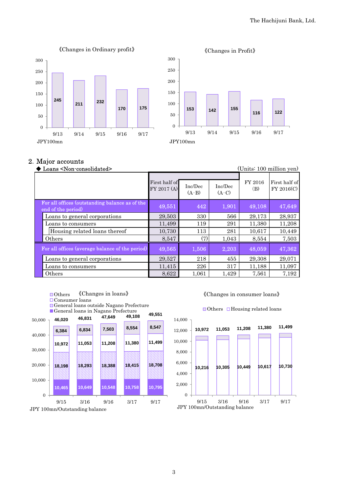



### 2.Major accounts

| Loans <non-consolidated></non-consolidated>                          |                              |                    |                    |                | (Units: 100 million yen)    |
|----------------------------------------------------------------------|------------------------------|--------------------|--------------------|----------------|-----------------------------|
|                                                                      | First half of<br>FY 2017 (A) | Inc/Dec<br>$(A-B)$ | Inc/Dec<br>$(A-C)$ | FY 2016<br>(B) | First half of<br>FY 2016(C) |
| For all offices (outstanding balance as of the<br>end of the period) | 49,551                       | 442                | 1,901              | 49,108         | 47,649                      |
| Loans to general corporations                                        | 29,503                       | 330                | 566                | 29,173         | 28,937                      |
| Loans to consumers                                                   | 11,499                       | 119                | 291                | 11,380         | 11,208                      |
| Housing related loans thereof                                        | 10,730                       | 113                | 281                | 10.617         | 10,449                      |
| Others                                                               | 8,547                        | (7)                | 1,043              | 8,554          | 7,503                       |
| For all offices (average balance of the period)                      | 49,565                       | 1,506              | 2,203              | 48,059         | 47,362                      |
| Loans to general corporations                                        | 29,527                       | 218                | 455                | 29,308         | 29,071                      |
| Loans to consumers                                                   | 11,415                       | 226                | 317                | 11,188         | 11,097                      |
| Others                                                               | 8,622                        | 1,061              | 1,429              | 7,561          | 7,192                       |

- ■Others 《Changes in loans》
- Consumer loans
- General loans outside Nagano Prefecture
- General loans in Nagano Prefecture



![](_page_3_Figure_10.jpeg)

![](_page_3_Figure_11.jpeg)

### $\Box$  Others  $\Box$  Housing related loans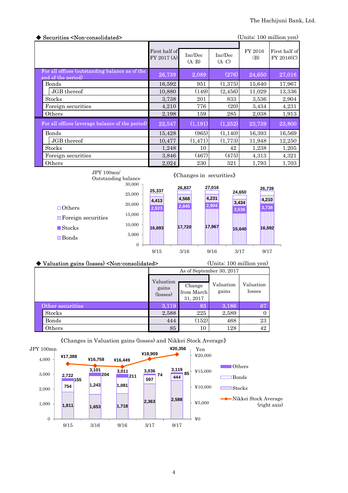| Securities <non-consolidated><br/>(Units: 100 million yen)</non-consolidated> |                              |                    |                    |                |                             |
|-------------------------------------------------------------------------------|------------------------------|--------------------|--------------------|----------------|-----------------------------|
|                                                                               | First half of<br>FY 2017 (A) | Inc/Dec<br>$(A-B)$ | Inc/Dec<br>$(A-C)$ | FY 2016<br>(B) | First half of<br>FY 2016(C) |
| For all offices (outstanding balance as of the<br>end of the period)          | 26,739                       | 2,089              | (276)              | 24,650         | 27,016                      |
| <b>Bonds</b>                                                                  | 16,592                       | 951                | (1,375)            | 15,640         | 17,967                      |
| JGB thereof                                                                   | 10,880                       | (149)              | (2, 456)           | 11,029         | 13,336                      |
| <b>Stocks</b>                                                                 | 3,738                        | 201                | 833                | 3,536          | 2,904                       |
| Foreign securities                                                            | 4,210                        | 776                | (20)               | 3,434          | 4,231                       |
| Others                                                                        | 2,198                        | 159                | 285                | 2,038          | 1,913                       |
| For all offices (average balance of the period)                               | 22,547                       | (1,191)            | (1,252)            | 23,739         | 23,800                      |
| <b>Bonds</b>                                                                  | 15,428                       | (965)              | (1,140)            | 16,393         | 16,569                      |
| JGB thereof                                                                   | 10,477                       | (1, 471)           | (1,773)            | 11,948         | 12,250                      |
| <b>Stocks</b>                                                                 | 1,248                        | 10                 | 42                 | 1,238          | 1,205                       |
| Foreign securities                                                            | 3,846                        | (467)              | (475)              | 4,313          | 4,321                       |
| Others                                                                        | 2,024                        | 230                | 321                | 1,793          | 1,703                       |

![](_page_4_Figure_2.jpeg)

| ◆ Valuation gains (losses) <non-consolidated></non-consolidated> | (Units: 100 million yen)       |                                  |                    |                     |  |  |  |
|------------------------------------------------------------------|--------------------------------|----------------------------------|--------------------|---------------------|--|--|--|
|                                                                  | As of September 30, 2017       |                                  |                    |                     |  |  |  |
|                                                                  | Valuation<br>gains<br>(losses) | Change<br>from March<br>31, 2017 | Valuation<br>gains | Valuation<br>losses |  |  |  |
| Other securities                                                 | 3.119                          | 83                               | 3,186              | 67                  |  |  |  |
| <b>Stocks</b>                                                    | 2,588                          | 225                              | 2,589              |                     |  |  |  |
| Bonds                                                            | 444                            | (152)                            | 468                | 23                  |  |  |  |
| $\rm{Others}$                                                    | 85                             | 10                               | 128                | 42                  |  |  |  |

![](_page_4_Figure_4.jpeg)

### 《Changes in Valuation gains (losses) and Nikkei Stock Average》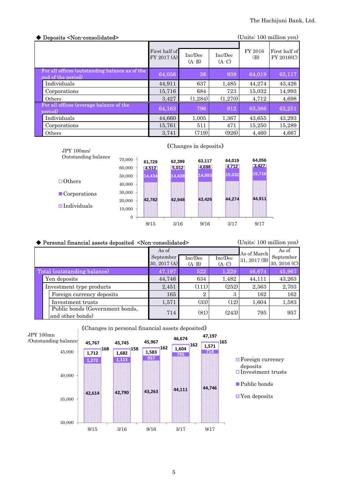| Deposits <non-consolidated></non-consolidated>                       |                              |                    |                    | (Units: 100 million yen) |                             |
|----------------------------------------------------------------------|------------------------------|--------------------|--------------------|--------------------------|-----------------------------|
|                                                                      | First half of<br>FY 2017 (A) | Inc/Dec<br>$(A-B)$ | Inc/Dec<br>$(A-C)$ | FY 2016<br>(B)           | First half of<br>FY 2016(C) |
| For all offices (outstanding balance as of the<br>end of the period) | 64,056                       | 36                 | 939                | 64,019                   | 63,117                      |
| Individuals                                                          | 44.911                       | 637                | 1,485              | 44,274                   | 43,426                      |
| Corporations                                                         | 15,716                       | 684                | 723                | 15,032                   | 14,993                      |
| Others                                                               | 3,427                        | (1, 284)           | (1,270)            | 4,712                    | 4,698                       |
| For all offices (average balance of the<br>period)                   | 64,163                       | 796                | 912                | 63,366                   | 63,251                      |
| Individuals                                                          | 44.660                       | 1.005              | 1,367              | 43,655                   | 43,293                      |
| Corporations                                                         | 15,761                       | 511                | 471                | 15,250                   | 15,289                      |
| Others                                                               | 3.741                        | (719)              | (926)              | 4.460                    | 4,667                       |

![](_page_5_Figure_2.jpeg)

# 《Changes in deposits》

| (Units: 100 million yen)<br>◆ Personal financial assets deposited <non-consolidated></non-consolidated> |                                                     |                           |                |         |              |                           |
|---------------------------------------------------------------------------------------------------------|-----------------------------------------------------|---------------------------|----------------|---------|--------------|---------------------------|
|                                                                                                         |                                                     | As of                     |                |         | As of March  | As of                     |
|                                                                                                         |                                                     | September<br>30, 2017 (A) | Inc/Dec        | Inc/Dec | 31, 2017 (B) | September<br>30, 2016 (C) |
|                                                                                                         |                                                     |                           | $(A-B)$        | $(A-C)$ |              |                           |
|                                                                                                         | Total (outstanding balance)                         | 47,197                    | 522            | 1,229   | 46,674       | 45,967                    |
|                                                                                                         | Yen deposits                                        | 44,746                    | 634            | 1,482   | 44,111       | 43,263                    |
|                                                                                                         | Investment type products                            | 2,451                     | (111)          | (252)   | 2,563        | 2,703                     |
|                                                                                                         | Foreign currency deposits                           | 165                       | $\overline{2}$ | 3       | 162          | 162                       |
|                                                                                                         | Investment trusts                                   | 1,571                     | (33)           | (12)    | 1,604        | 1,583                     |
|                                                                                                         | Public bonds (Government bonds,<br>and other bonds) | 714                       | (81)           | (243)   | 795          | 957                       |

![](_page_5_Figure_5.jpeg)

![](_page_5_Figure_6.jpeg)

■Public bonds

**N** Yen deposits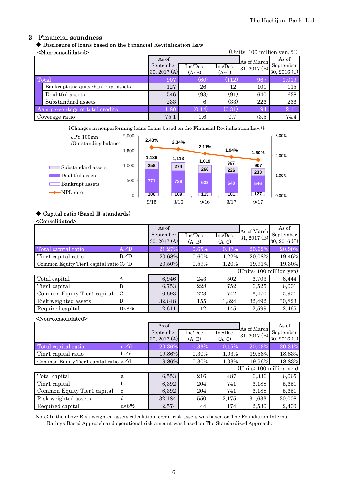## 3. Financial soundness

### ◆ Disclosure of loans based on the Financial Revitalization Law  $\epsilon$ Non-consolidated>  $($ Inits: 100 million yen,  $\%$ )

|                                  | ANUIT COMPONICACIO                 |                |         |                      |              | $\overline{O}$ and $\overline{O}$ and $\overline{O}$ and $\overline{O}$ |
|----------------------------------|------------------------------------|----------------|---------|----------------------|--------------|-------------------------------------------------------------------------|
|                                  |                                    | As of          |         |                      | As of March  | As of                                                                   |
|                                  |                                    | September      | Inc/Dec | Inc/Dec              | 31, 2017 (B) | September                                                               |
|                                  |                                    | 30, 2017 $(A)$ | $(A-B)$ | $(A-C)$              |              | 30, 2016 (C)                                                            |
| Total                            |                                    | 907            | (60)    | (112)                | 967          | 1,019                                                                   |
|                                  | Bankrupt and quasi-bankrupt assets | 127            | 26      | 12                   | 101          | 115                                                                     |
|                                  | Doubtful assets                    | 546            | (93)    | (91)                 | 640          | 638                                                                     |
|                                  | Substandard assets                 | 233            | 6       | (33)                 | 226          | 266                                                                     |
| As a percentage of total credits |                                    | 1.80           | (0.14)  | $\left( 0.31\right)$ | 1.94         | 2.11                                                                    |
|                                  | Coverage ratio                     | 75.1           | $1.6\,$ | 0.7                  | 73.5         | 74.4                                                                    |

《Changes in nonperforming loans (loans based on the Financial Revitalization Law)》

![](_page_6_Figure_6.jpeg)

### ◆ Capital ratio (Basel Ⅲ standards)

### <Consolidated>

|                                         |                | As of<br>September<br>30, 2017 (A) | Inc/Dec<br>$(A-B)$ | Inc/Dec<br>$(A-C)$ | As of March<br>31, 2017 (B) | As of<br>September<br>30, 2016 (C) |
|-----------------------------------------|----------------|------------------------------------|--------------------|--------------------|-----------------------------|------------------------------------|
| Total capital ratio                     | A/D            | 21.27%                             | 0.65%              | 0.37%              | 20.62%                      | 20.90%                             |
| Tier1 capital ratio                     | B/D            | 20.68%                             | 0.60%              | 1.22%              | 20.08%                      | 19.46%                             |
| Common Equity Tier1 capital ratio $C/D$ |                | 20.50%                             | 0.59%              | 1.20%              | 19.91%                      | 19.30%                             |
|                                         |                |                                    |                    |                    | (Units: 100 million yen)    |                                    |
| Total capital                           | А              | 6,946                              | 243                | 502                | 6,703                       | 6,444                              |
| Tier1 capital                           | B              | 6,753                              | 228                | 752                | 6,525                       | 6,001                              |
| Common Equity Tier1 capital             | $\mathcal{C}$  | 6,693                              | 223                | 742                | 6,470                       | 5,951                              |
| Risk weighted assets                    | D              | 32,648                             | 155                | 1,824              | 32,492                      | 30,823                             |
| Required capital                        | $D \times 8\%$ | 2,611                              | 12                 | 145                | 2,599                       | 2,465                              |

### <Non-consolidated>

|                                         |                | As of<br>September<br>30, 2017 (A) | Inc/Dec<br>$(A-B)$ | Inc/Dec<br>$(A-C)$ | As of March<br>31, 2017 (B) | As of<br>September<br>30, 2016 (C) |
|-----------------------------------------|----------------|------------------------------------|--------------------|--------------------|-----------------------------|------------------------------------|
| Total capital ratio                     | a/d            | 20.36%                             | 0.33%              | 0.15%              | 20.03%                      | 20.21%                             |
| Tier1 capital ratio                     | $b\angle d$    | 19.86%                             | 0.30%              | 1.03%              | 19.56%                      | 18.83%                             |
| Common Equity Tier1 capital ratio $c/d$ |                | 19.86%                             | 0.30%              | 1.03%              | 19.56%                      | 18.83%                             |
|                                         |                |                                    |                    |                    | (Units: 100 million yen)    |                                    |
| Total capital                           | a              | 6,553                              | 216                | 487                | 6,336                       | 6,065                              |
| Tier1 capital                           | h              | 6,392                              | 204                | 741                | 6,188                       | 5,651                              |
| Common Equity Tier1 capital             | c              | 6,392                              | 204                | 741                | 6,188                       | 5,651                              |
| Risk weighted assets                    | d              | 32,184                             | 550                | 2,175              | 31,633                      | 30,008                             |
| Required capital                        | $d \times 8\%$ | 2,574                              | 44                 | 174                | 2,530                       | 2,400                              |

Note: In the above Risk weighted assets calculation, credit risk assets was based on The Foundation Internal Ratings-Based Approach and operational risk amount was based on The Standardized Approach.